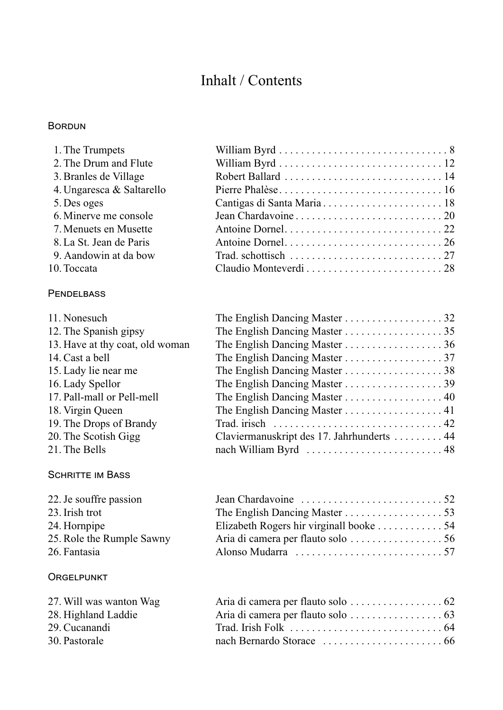## Inhalt / Contents

#### Bordun

**PENDELBASS** 

| 1. The Trumpets           |  |
|---------------------------|--|
| 2. The Drum and Flute     |  |
| 3. Branles de Village     |  |
| 4. Ungaresca & Saltarello |  |
| 5. Des oges               |  |
| 6. Minerve me console     |  |
| 7. Menuets en Musette     |  |
| 8. La St. Jean de Paris   |  |
| 9. Aandowin at da bow     |  |
| 10. Toccata               |  |

| The English Dancing Master 32                                                       |                                                                |
|-------------------------------------------------------------------------------------|----------------------------------------------------------------|
|                                                                                     |                                                                |
| The English Dancing Master 36                                                       |                                                                |
|                                                                                     |                                                                |
|                                                                                     |                                                                |
|                                                                                     |                                                                |
|                                                                                     |                                                                |
| The English Dancing Master 41                                                       |                                                                |
| Trad. irisch $\dots \dots \dots \dots \dots \dots \dots \dots \dots \dots \dots 42$ |                                                                |
| Claviermanuskript des 17. Jahrhunderts  44                                          |                                                                |
| nach William Byrd  48                                                               |                                                                |
|                                                                                     | The English Dancing Master 38<br>The English Dancing Master 40 |

#### SCHRITTE IM BASS

| 22. Je souffre passion    |                                         |  |
|---------------------------|-----------------------------------------|--|
| 23. Irish trot            |                                         |  |
| 24. Hornpipe              | Elizabeth Rogers hir virginall booke 54 |  |
| 25. Role the Rumple Sawny |                                         |  |
| 26. Fantasia              |                                         |  |
|                           |                                         |  |

#### **ORGELPUNKT**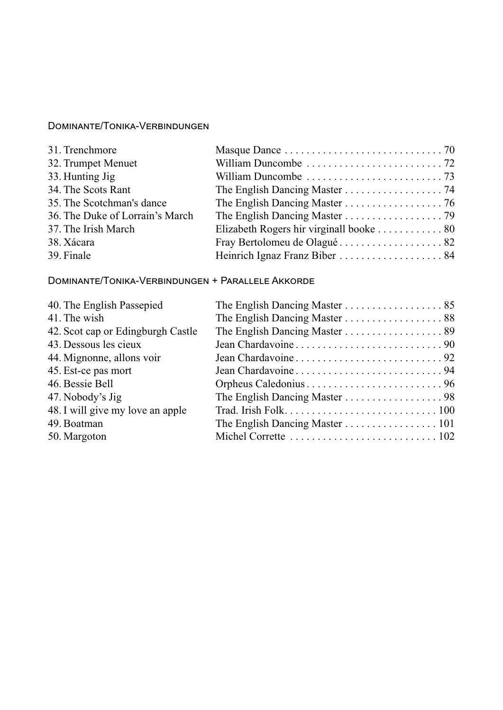## Dominante/Tonika-Verbindungen

| 31. Trenchmore                  |                                         |
|---------------------------------|-----------------------------------------|
| 32. Trumpet Menuet              |                                         |
| 33. Hunting Jig                 |                                         |
| 34. The Scots Rant              |                                         |
| 35. The Scotchman's dance       | The English Dancing Master 76           |
| 36. The Duke of Lorrain's March | The English Dancing Master 79           |
| 37. The Irish March             | Elizabeth Rogers hir virginall booke 80 |
| 38. Xácara                      |                                         |
| 39. Finale                      | Heinrich Ignaz Franz Biber  84          |

## Dominante/Tonika-Verbindungen + Parallele Akkorde

| 40. The English Passepied         | The English Dancing Master 85  |
|-----------------------------------|--------------------------------|
| 41. The wish                      | The English Dancing Master 88  |
| 42. Scot cap or Edingburgh Castle | The English Dancing Master 89  |
| 43. Dessous les cieux             |                                |
| 44. Mignonne, allons voir         |                                |
| 45. Est-ce pas mort               |                                |
| 46. Bessie Bell                   |                                |
| 47. Nobody's Jig                  |                                |
| 48. I will give my love an apple  |                                |
| 49. Boatman                       | The English Dancing Master 101 |
| 50. Margoton                      |                                |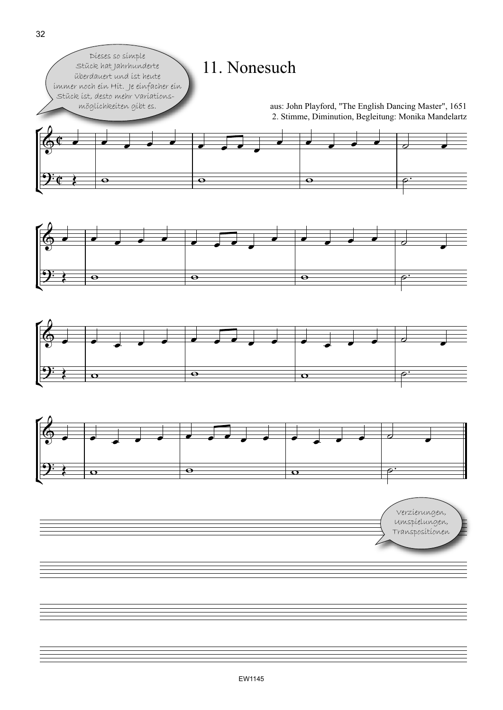







Verzierungen, Umspielungen, Transpositionen